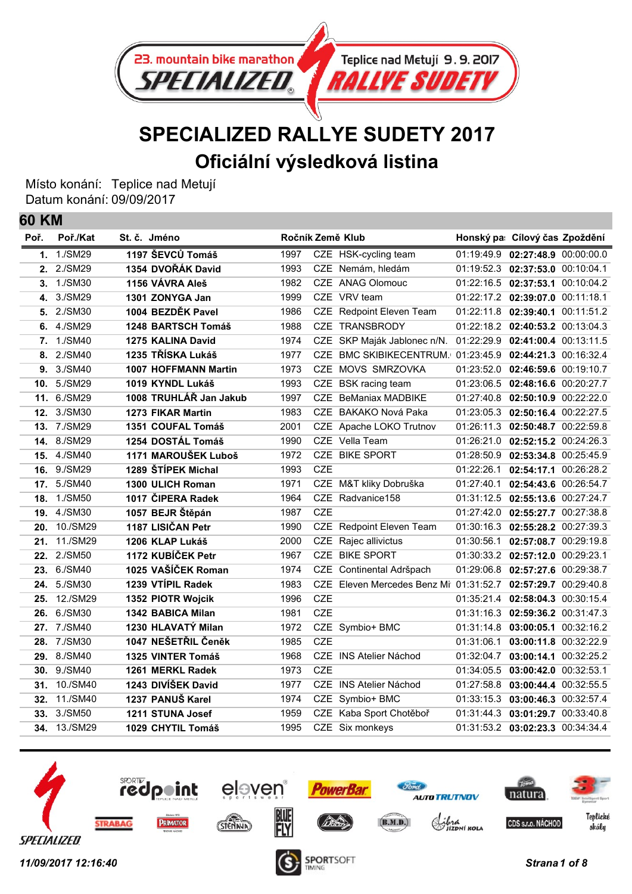

## **SPECIALIZED RALLYE SUDETY 2017 Oficiální výsledková listina**

Místo konání: Teplice nad Metují Datum konání: 09/09/2017

**60 KM**

| Poř. | Poř./Kat     | St. č. Jméno                |      |            | Ročník Země Klub                                             |            | Honský pa: Cílový čas Zpoždění     |  |
|------|--------------|-----------------------------|------|------------|--------------------------------------------------------------|------------|------------------------------------|--|
|      | 1. 1./SM29   | 1197 ŠEVCŮ Tomáš            | 1997 |            | CZE HSK-cycling team                                         |            | 01:19:49.9 02:27:48.9 00:00:00.0   |  |
| 2.   | 2./SM29      | 1354 DVOŘÁK David           | 1993 |            | CZE Nemám, hledám                                            |            | 01:19:52.3 02:37:53.0 00:10:04.1   |  |
| 3.   | 1./SM30      | 1156 VÁVRA Aleš             | 1982 | <b>CZE</b> | <b>ANAG Olomouc</b>                                          |            | 01:22:16.5 02:37:53.1 00:10:04.2   |  |
| 4.   | 3./SM29      | 1301 ZONYGA Jan             | 1999 |            | CZE VRV team                                                 |            | 01:22:17.2 02:39:07.0 00:11:18.1   |  |
| 5.   | 2./SM30      | 1004 BEZDĚK Pavel           | 1986 |            | CZE Redpoint Eleven Team                                     |            | 01:22:11.8 02:39:40.1 00:11:51.2   |  |
| 6.   | 4./SM29      | 1248 BARTSCH Tomáš          | 1988 |            | CZE TRANSBRODY                                               |            | 01:22:18.2 02:40:53.2 00:13:04.3   |  |
| 7.   | 1./SM40      | 1275 KALINA David           | 1974 |            | CZE SKP Maják Jablonec n/N. 01:22:29.9 02:41:00.4 00:13:11.5 |            |                                    |  |
| 8.   | 2./SM40      | 1235 TŘÍSKA Lukáš           | 1977 | CZE        | BMC SKIBIKECENTRUM. 01:23:45.9                               |            | 02:44:21.3 00:16:32.4              |  |
| 9.   | 3./SM40      | <b>1007 HOFFMANN Martin</b> | 1973 | <b>CZE</b> | MOVS SMRZOVKA                                                |            | 01:23:52.0 02:46:59.6 00:19:10.7   |  |
|      | 10. 5./SM29  | 1019 KYNDL Lukáš            | 1993 |            | CZE BSK racing team                                          |            | 01:23:06.5 02:48:16.6 00:20:27.7   |  |
|      | 11. 6./SM29  | 1008 TRUHLÁŘ Jan Jakub      | 1997 | CZE.       | <b>BeManiax MADBIKE</b>                                      | 01:27:40.8 | 02:50:10.9 00:22:22.0              |  |
| 12.  | 3./SM30      | <b>1273 FIKAR Martin</b>    | 1983 |            | CZE BAKAKO Nová Paka                                         |            | 01:23:05.3  02:50:16.4  00:22:27.5 |  |
| 13.  | 7./SM29      | 1351 COUFAL Tomáš           | 2001 |            | CZE Apache LOKO Trutnov                                      |            | 01:26:11.3 02:50:48.7 00:22:59.8   |  |
| 14.  | 8./SM29      | 1254 DOSTÁL Tomáš           | 1990 |            | CZE Vella Team                                               | 01:26:21.0 | 02:52:15.2 00:24:26.3              |  |
| 15.  | 4./SM40      | 1171 MAROUŠEK Luboš         | 1972 | <b>CZE</b> | <b>BIKE SPORT</b>                                            | 01:28:50.9 | 02:53:34.8 00:25:45.9              |  |
| 16.  | 9./SM29      | 1289 ŠTÍPEK Michal          | 1993 | <b>CZE</b> |                                                              | 01:22:26.1 | 02:54:17.1 00:26:28.2              |  |
| 17.  | 5./SM40      | 1300 ULICH Roman            | 1971 |            | CZE M&T kliky Dobruška                                       |            | 01:27:40.1 02:54:43.6 00:26:54.7   |  |
| 18.  | 1./SM50      | 1017 ČIPERA Radek           | 1964 |            | CZE Radvanice158                                             |            | 01:31:12.5 02:55:13.6 00:27:24.7   |  |
| 19.  | 4./SM30      | 1057 BEJR Štěpán            | 1987 | <b>CZE</b> |                                                              |            | 01:27:42.0 02:55:27.7 00:27:38.8   |  |
| 20.  | 10./SM29     | 1187 LISIČAN Petr           | 1990 |            | CZE Redpoint Eleven Team                                     |            | 01:30:16.3  02:55:28.2  00:27:39.3 |  |
| 21.  | 11./SM29     | 1206 KLAP Lukáš             | 2000 | <b>CZE</b> | Rajec allivictus                                             | 01:30:56.1 | 02:57:08.7 00:29:19.8              |  |
| 22.  | 2./SM50      | 1172 KUBÍČEK Petr           | 1967 |            | CZE BIKE SPORT                                               |            | 01:30:33.2 02:57:12.0 00:29:23.1   |  |
| 23.  | 6./SM40      | 1025 VAŠÍČEK Roman          | 1974 |            | CZE Continental Adršpach                                     | 01:29:06.8 | 02:57:27.6 00:29:38.7              |  |
| 24.  | 5./SM30      | 1239 VTÍPIL Radek           | 1983 |            | CZE Eleven Mercedes Benz Mi 01:31:52.7                       |            | 02:57:29.7 00:29:40.8              |  |
| 25.  | 12./SM29     | 1352 PIOTR Wojcik           | 1996 | <b>CZE</b> |                                                              | 01:35:21.4 | 02:58:04.3 00:30:15.4              |  |
| 26.  | 6./SM30      | 1342 BABICA Milan           | 1981 | <b>CZE</b> |                                                              |            | 01:31:16.3 02:59:36.2 00:31:47.3   |  |
| 27.  | 7./SM40      | 1230 HLAVATÝ Milan          | 1972 |            | CZE Symbio+ BMC                                              | 01:31:14.8 | 03:00:05.1 00:32:16.2              |  |
| 28.  | 7./SM30      | 1047 NEŠETŘIL Čeněk         | 1985 | <b>CZE</b> |                                                              | 01:31:06.1 | 03:00:11.8 00:32:22.9              |  |
|      | 29. 8./SM40  | 1325 VINTER Tomáš           | 1968 |            | CZE INS Atelier Náchod                                       |            | 01:32:04.7 03:00:14.1 00:32:25.2   |  |
|      | 30. 9./SM40  | 1261 MERKL Radek            | 1973 | <b>CZE</b> |                                                              | 01:34:05.5 | 03:00:42.0 00:32:53.1              |  |
| 31.  | 10./SM40     | 1243 DIVÍŠEK David          | 1977 |            | CZE INS Atelier Náchod                                       |            | 01:27:58.8 03:00:44.4 00:32:55.5   |  |
| 32.  | 11./SM40     | 1237 PANUŠ Karel            | 1974 |            | CZE Symbio+ BMC                                              |            | 01:33:15.3 03:00:46.3 00:32:57.4   |  |
| 33.  | 3./SM50      | 1211 STUNA Josef            | 1959 |            | CZE Kaba Sport Chotěboř                                      |            | 01:31:44.3 03:01:29.7 00:33:40.8   |  |
|      | 34. 13./SM29 | 1029 CHYTIL Tomáš           | 1995 |            | CZE Six monkeys                                              |            | 01:31:53.2 03:02:23.3 00:34:34.4   |  |
|      |              |                             |      |            |                                                              |            |                                    |  |

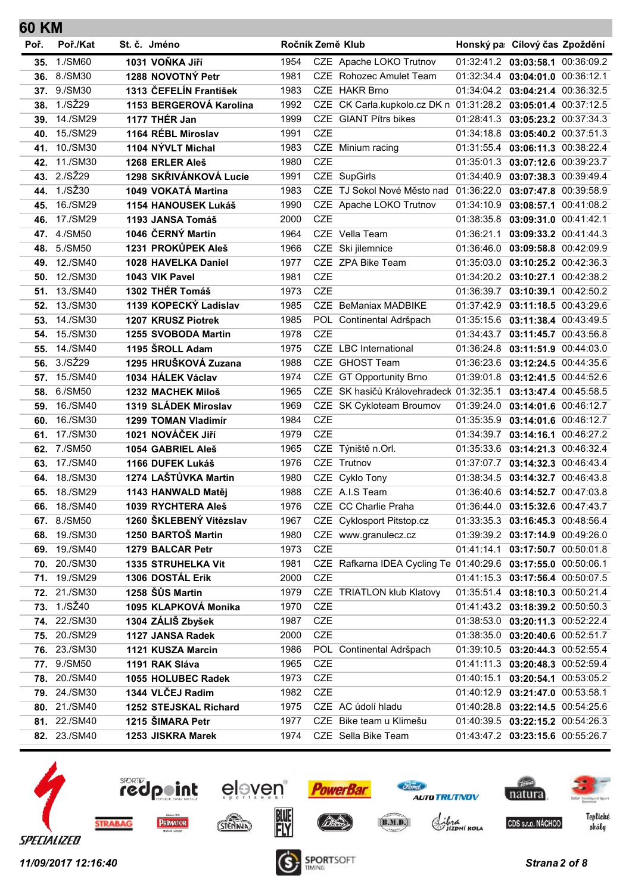| 60 KM |                              |                                           |              |            |                                                               |            |                                                                      |  |
|-------|------------------------------|-------------------------------------------|--------------|------------|---------------------------------------------------------------|------------|----------------------------------------------------------------------|--|
| Poř.  | Poř./Kat                     | St. č. Jméno                              |              |            | Ročník Země Klub                                              |            | Honský pa: Cílový čas Zpoždění                                       |  |
|       | 35. 1./SM60                  | 1031 VOŇKA Jiří                           | 1954         |            | CZE Apache LOKO Trutnov                                       |            | 01:32:41.2 03:03:58.1 00:36:09.2                                     |  |
|       | 36. 8./SM30                  | 1288 NOVOTNÝ Petr                         | 1981         |            | CZE Rohozec Amulet Team                                       |            | 01:32:34.4   03:04:01.0   00:36:12.1                                 |  |
|       | 37. 9./SM30                  | 1313 ČEFELÍN František                    | 1983         |            | CZE HAKR Brno                                                 |            | 01:34:04.2 03:04:21.4 00:36:32.5                                     |  |
| 38.   | 1./SŽ29                      | 1153 BERGEROVÁ Karolina                   | 1992         |            | CZE CK Carla.kupkolo.cz DK n 01:31:28.2 03:05:01.4 00:37:12.5 |            |                                                                      |  |
| 39.   | 14./SM29                     | 1177 THÉR Jan                             | 1999         |            | CZE GIANT Pítrs bikes                                         |            | 01:28:41.3 03:05:23.2 00:37:34.3                                     |  |
| 40.   | 15./SM29                     | 1164 RÉBL Miroslav                        | 1991         | <b>CZE</b> |                                                               |            | 01:34:18.8 03:05:40.2 00:37:51.3                                     |  |
| 41.   | 10./SM30                     | 1104 NÝVLT Michal                         | 1983         |            | CZE Minium racing                                             |            | 01:31:55.4 03:06:11.3 00:38:22.4                                     |  |
| 42.   | 11./SM30                     | 1268 ERLER Aleš                           | 1980         | <b>CZE</b> |                                                               | 01:35:01.3 | 03:07:12.6 00:39:23.7                                                |  |
|       | 43. 2./SŽ29                  | 1298 SKŘIVÁNKOVÁ Lucie                    | 1991         |            | CZE SupGirls                                                  |            | 01:34:40.9 03:07:38.3 00:39:49.4                                     |  |
| 44.   | 1./SŽ30                      | 1049 VOKATÁ Martina                       | 1983         |            | CZE TJ Sokol Nové Město nad 01:36:22.0 03:07:47.8 00:39:58.9  |            |                                                                      |  |
| 45.   | 16./SM29                     | 1154 HANOUSEK Lukáš                       | 1990         |            | CZE Apache LOKO Trutnov                                       |            | 01:34:10.9 03:08:57.1 00:41:08.2                                     |  |
| 46.   | 17./SM29                     | 1193 JANSA Tomáš                          | 2000         | <b>CZE</b> |                                                               |            | 01:38:35.8 03:09:31.0 00:41:42.1                                     |  |
| 47.   | 4./SM50                      | 1046 ČERNÝ Martin                         | 1964         |            | CZE Vella Team                                                |            | 01:36:21.1 03:09:33.2 00:41:44.3                                     |  |
| 48.   | 5./SM50                      | 1231 PROKŮPEK Aleš                        | 1966         |            | CZE Ski jilemnice                                             |            | 01:36:46.0 03:09:58.8 00:42:09.9                                     |  |
| 49.   | 12./SM40                     | 1028 HAVELKA Daniel                       | 1977         |            | CZE ZPA Bike Team                                             |            | 01:35:03.0   03:10:25.2   00:42:36.3                                 |  |
| 50.   | 12./SM30                     | 1043 VIK Pavel                            | 1981         | <b>CZE</b> |                                                               |            | 01:34:20.2 03:10:27.1 00:42:38.2                                     |  |
| 51.   | 13./SM40                     | 1302 THÉR Tomáš                           | 1973         | <b>CZE</b> |                                                               |            | 01:36:39.7 03:10:39.1 00:42:50.2                                     |  |
| 52.   | 13./SM30                     | 1139 KOPECKÝ Ladislav                     | 1985         |            | <b>CZE</b> BeManiax MADBIKE                                   |            | 01:37:42.9 03:11:18.5 00:43:29.6                                     |  |
| 53.   | 14./SM30                     | 1207 KRUSZ Piotrek                        | 1985         |            | POL Continental Adršpach                                      |            | 01:35:15.6 03:11:38.4 00:43:49.5                                     |  |
| 54.   | 15./SM30                     | 1255 SVOBODA Martin                       | 1978         | <b>CZE</b> |                                                               |            | 01:34:43.7 03:11:45.7 00:43:56.8                                     |  |
| 55.   | 14./SM40                     | 1195 SROLL Adam                           | 1975         |            | CZE LBC International                                         |            | 01:36:24.8 03:11:51.9 00:44:03.0                                     |  |
|       | 56. 3./SŽ29                  | 1295 HRUŠKOVÁ Zuzana                      | 1988         |            | CZE GHOST Team                                                |            | 01:36:23.6 03:12:24.5 00:44:35.6                                     |  |
| 57.   | 15./SM40                     | 1034 HÁLEK Václav                         | 1974         |            | CZE GT Opportunity Brno                                       | 01:39:01.8 | 03:12:41.5 00:44:52.6                                                |  |
| 58.   | 6./SM50                      | 1232 MACHEK Miloš                         | 1965         |            | CZE SK hasičů Královehradeck 01:32:35.1                       |            | 03:13:47.4 00:45:58.5                                                |  |
| 59.   | 16./SM40                     | 1319 SLÁDEK Miroslav                      | 1969         |            | CZE SK Cykloteam Broumov                                      |            | 01:39:24.0 03:14:01.6 00:46:12.7                                     |  |
| 60.   | 16./SM30                     | 1299 TOMAN Vladimír                       | 1984         | <b>CZE</b> |                                                               |            | 01:35:35.9 03:14:01.6 00:46:12.7                                     |  |
| 61.   | 17./SM30                     | 1021 NOVÁČEK JIří                         | 1979         | <b>CZE</b> |                                                               |            | 01:34:39.7 03:14:16.1 00:46:27.2                                     |  |
| 62.   | 7./SM50                      | 1054 GABRIEL Aleš                         | 1965         |            | CZE Týniště n.Orl.                                            |            | 01:35:33.6 03:14:21.3 00:46:32.4                                     |  |
| 63.   | 17./SM40                     | 1166 DUFEK Lukáš                          | 1976         |            | CZE Trutnov                                                   |            | 01:37:07.7 03:14:32.3 00:46:43.4                                     |  |
| 64.   | 18./SM30                     | 1274 LAŠTŮVKA Martin                      | 1980         |            | CZE Cyklo Tony                                                |            | 01:38:34.5 03:14:32.7 00:46:43.8                                     |  |
| 65.   | 18./SM29                     | 1143 HANWALD Matěj                        | 1988         |            | CZE A.I.S Team                                                |            | 01:36:40.6 03:14:52.7 00:47:03.8                                     |  |
|       | 66. 18./SM40                 | 1039 RYCHTERA Aleš                        | 1976         |            | CZE CC Charlie Praha                                          |            | 01:36:44.0 03:15:32.6 00:47:43.7                                     |  |
|       | 67. 8./SM50                  | 1260 ŠKLEBENÝ Vítězslav                   | 1967         |            | CZE Cyklosport Pitstop.cz                                     |            | 01:33:35.3 03:16:45.3 00:48:56.4                                     |  |
|       | 68. 19./SM30                 | 1250 BARTOŠ Martin                        | 1980         |            | CZE www.granulecz.cz                                          |            | 01:39:39.2 03:17:14.9 00:49:26.0                                     |  |
|       | 69. 19./SM40                 | 1279 BALCAR Petr                          | 1973         | CZE        |                                                               |            | 01:41:14.1 03:17:50.7 00:50:01.8                                     |  |
|       | 70. 20./SM30                 | 1335 STRUHELKA Vit                        | 1981         |            | CZE Rafkarna IDEA Cycling Te 01:40:29.6 03:17:55.0 00:50:06.1 |            |                                                                      |  |
|       | 71. 19./SM29                 | 1306 DOSTÁL Erik                          | 2000         | CZE        |                                                               |            | 01:41:15.3 03:17:56.4 00:50:07.5                                     |  |
|       | 72. 21./SM30<br>73. 1./SŽ40  | 1258 ŠŮS Martin                           | 1979         |            | CZE TRIATLON klub Klatovy                                     |            | 01:35:51.4 03:18:10.3 00:50:21.4                                     |  |
|       |                              | 1095 KLAPKOVÁ Monika                      | 1970         | CZE        |                                                               |            | 01:41:43.2 03:18:39.2 00:50:50.3                                     |  |
|       | 74. 22./SM30<br>75. 20./SM29 | 1304 ZÁLIŠ Zbyšek                         | 1987<br>2000 | CZE<br>CZE |                                                               |            | 01:38:53.0 03:20:11.3 00:52:22.4                                     |  |
|       |                              | 1127 JANSA Radek                          |              |            |                                                               |            | 01:38:35.0 03:20:40.6 00:52:51.7                                     |  |
|       | 76. 23./SM30<br>77. 9./SM50  | 1121 KUSZA Marcin<br>1191 RAK Sláva       | 1986<br>1965 | CZE        | POL Continental Adršpach                                      |            | 01:39:10.5 03:20:44.3 00:52:55.4<br>01:41:11.3 03:20:48.3 00:52:59.4 |  |
|       | 78. 20./SM40                 |                                           | 1973         | CZE        |                                                               |            |                                                                      |  |
|       | 79. 24./SM30                 | 1055 HOLUBEC Radek<br>1344 VLČEJ Radim    | 1982         | CZE        |                                                               |            | 01:40:15.1 03:20:54.1 00:53:05.2                                     |  |
|       | 80. 21./SM40                 |                                           |              |            | CZE AC údolí hladu                                            |            | 01:40:12.9 03:21:47.0 00:53:58.1                                     |  |
|       | 81. 22./SM40                 | 1252 STEJSKAL Richard<br>1215 ŠIMARA Petr | 1975<br>1977 |            | CZE Bike team u Klimešu                                       |            | 01:40:28.8 03:22:14.5 00:54:25.6                                     |  |
|       |                              |                                           |              |            |                                                               |            | 01:40:39.5 03:22:15.2 00:54:26.3                                     |  |
|       | 82. 23./SM40                 | 1253 JISKRA Marek                         | 1974         |            | CZE Sella Bike Team                                           |            | 01:43:47.2 03:23:15.6 00:55:26.7                                     |  |

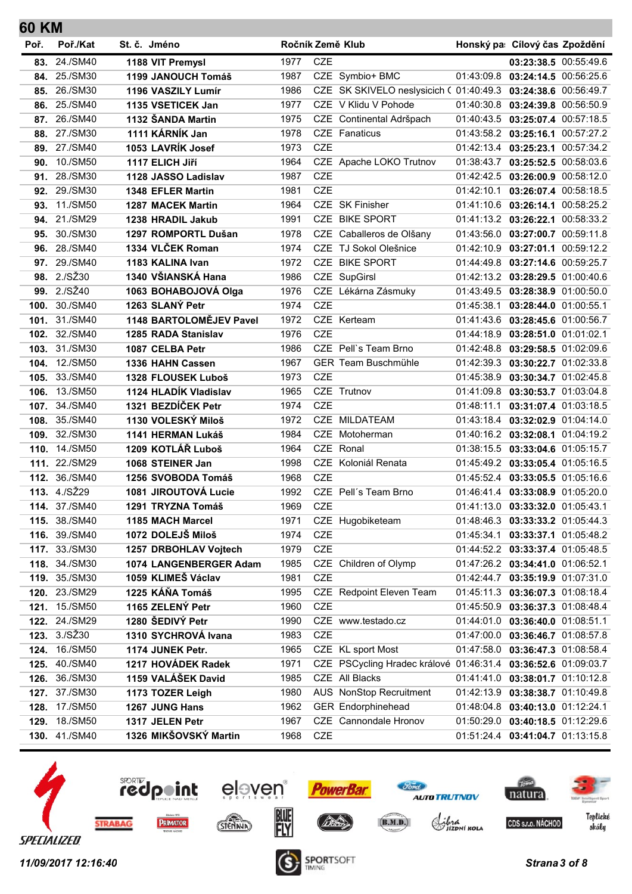| 60 KM |               |                          |      |            |                                                               |                                      |            |
|-------|---------------|--------------------------|------|------------|---------------------------------------------------------------|--------------------------------------|------------|
| Poř.  | Poř./Kat      | St. č. Jméno             |      |            | Ročník Země Klub                                              | Honský pa: Cílový čas Zpoždění       |            |
|       | 83. 24./SM40  | 1188 VIT Premysl         | 1977 | <b>CZE</b> |                                                               | 03:23:38.5 00:55:49.6                |            |
|       | 84. 25./SM30  | 1199 JANOUCH Tomáš       | 1987 |            | CZE Symbio+ BMC                                               | 01:43:09.8  03:24:14.5  00:56:25.6   |            |
|       | 85. 26./SM30  | 1196 VASZILY Lumír       | 1986 |            | CZE SK SKIVELO neslysicich ( 01:40:49.3 03:24:38.6 00:56:49.7 |                                      |            |
|       | 86. 25./SM40  | 1135 VSETICEK Jan        | 1977 |            | CZE V Klidu V Pohode                                          | 01:40:30.8 03:24:39.8 00:56:50.9     |            |
|       | 87. 26./SM40  | 1132 ŠANDA Martin        | 1975 |            | CZE Continental Adršpach                                      | 01:40:43.5 03:25:07.4 00:57:18.5     |            |
|       | 88. 27./SM30  | 1111 KÁRNÍK Jan          | 1978 |            | CZE Fanaticus                                                 | 01:43:58.2 03:25:16.1 00:57:27.2     |            |
| 89.   | 27./SM40      | 1053 LAVRÍK Josef        | 1973 | <b>CZE</b> |                                                               | 01:42:13.4 03:25:23.1                | 00:57:34.2 |
| 90.   | 10./SM50      | 1117 ELICH Jiří          | 1964 |            | CZE Apache LOKO Trutnov                                       | 01:38:43.7 03:25:52.5 00:58:03.6     |            |
| 91.   | 28./SM30      | 1128 JASSO Ladislav      | 1987 | CZE        |                                                               | 01:42:42.5 03:26:00.9 00:58:12.0     |            |
|       | 92. 29./SM30  | 1348 EFLER Martin        | 1981 | <b>CZE</b> |                                                               | 01:42:10.1 03:26:07.4 00:58:18.5     |            |
| 93.   | 11./SM50      | <b>1287 MACEK Martin</b> | 1964 |            | CZE SK Finisher                                               | 01:41:10.6 03:26:14.1 00:58:25.2     |            |
| 94.   | 21./SM29      | 1238 HRADIL Jakub        | 1991 |            | CZE BIKE SPORT                                                | 01:41:13.2 03:26:22.1 00:58:33.2     |            |
| 95.   | 30./SM30      | 1297 ROMPORTL Dušan      | 1978 |            | CZE Caballeros de Olšany                                      | 01:43:56.0 03:27:00.7 00:59:11.8     |            |
|       | 96. 28./SM40  | 1334 VLČEK Roman         | 1974 |            | CZE TJ Sokol Olešnice                                         | 01:42:10.9 03:27:01.1 00:59:12.2     |            |
| 97.   | 29./SM40      | 1183 KALINA Ivan         | 1972 |            | CZE BIKE SPORT                                                | 01:44:49.8 03:27:14.6 00:59:25.7     |            |
|       | 98. 2./SŽ30   | 1340 VŠIANSKÁ Hana       | 1986 |            | CZE SupGirsl                                                  | 01:42:13.2 03:28:29.5 01:00:40.6     |            |
|       | 99. 2./SŽ40   | 1063 BOHABOJOVÁ Olga     | 1976 |            | CZE Lékárna Zásmuky                                           | 01:43:49.5 03:28:38.9 01:00:50.0     |            |
|       | 100. 30./SM40 | 1263 SLANÝ Petr          | 1974 | <b>CZE</b> |                                                               | 01:45:38.1 03:28:44.0 01:00:55.1     |            |
|       | 101. 31./SM40 | 1148 BARTOLOMĚJEV Pavel  | 1972 |            | CZE Kerteam                                                   | 01:41:43.6 03:28:45.6 01:00:56.7     |            |
| 102.  | 32./SM40      | 1285 RADA Stanislav      | 1976 | <b>CZE</b> |                                                               | 01:44:18.9 03:28:51.0 01:01:02.1     |            |
|       | 103. 31./SM30 | 1087 CELBA Petr          | 1986 |            | CZE Pell's Team Brno                                          | 01:42:48.8 03:29:58.5 01:02:09.6     |            |
|       | 104. 12./SM50 | 1336 HAHN Cassen         | 1967 |            | <b>GER Team Buschmühle</b>                                    | 01:42:39.3 03:30:22.7 01:02:33.8     |            |
| 105.  | 33./SM40      | 1328 FLOUSEK Luboš       | 1973 | <b>CZE</b> |                                                               | 01:45:38.9 03:30:34.7 01:02:45.8     |            |
| 106.  | 13./SM50      | 1124 HLADÍK Vladislav    | 1965 |            | CZE Trutnov                                                   | 01:41:09.8 03:30:53.7 01:03:04.8     |            |
|       | 107. 34./SM40 | 1321 BEZDÍČEK Petr       | 1974 | <b>CZE</b> |                                                               | 01:48:11.1 03:31:07.4 01:03:18.5     |            |
|       | 108. 35./SM40 | 1130 VOLESKÝ Miloš       | 1972 |            | CZE MILDATEAM                                                 | 01:43:18.4   03:32:02.9   01:04:14.0 |            |
|       | 109. 32./SM30 | 1141 HERMAN Lukáš        | 1984 |            | CZE Motoherman                                                | 01:40:16.2 03:32:08.1 01:04:19.2     |            |
|       | 110. 14./SM50 | 1209 KOTLÁŘ Luboš        | 1964 |            | CZE Ronal                                                     | 01:38:15.5 03:33:04.6 01:05:15.7     |            |
|       | 111. 22./SM29 | 1068 STEINER Jan         | 1998 |            | CZE Koloniál Renata                                           | 01:45:49.2 03:33:05.4 01:05:16.5     |            |
|       | 112. 36./SM40 | 1256 SVOBODA Tomáš       | 1968 | <b>CZE</b> |                                                               | 01:45:52.4 03:33:05.5 01:05:16.6     |            |
|       | 113. 4./SŽ29  | 1081 JIROUTOVÁ Lucie     | 1992 |            | CZE Pell's Team Brno                                          | 01:46:41.4 03:33:08.9 01:05:20.0     |            |
|       | 114. 37./SM40 | 1291 TRYZNA Tomáš        | 1969 | CZE        |                                                               | 01:41:13.0 03:33:32.0 01:05:43.1     |            |
|       | 115. 38./SM40 | 1185 MACH Marcel         | 1971 |            | CZE Hugobiketeam                                              | 01:48:46.3 03:33:33.2 01:05:44.3     |            |
|       | 116. 39./SM40 | 1072 DOLEJŠ Miloš        | 1974 | <b>CZE</b> |                                                               | 01:45:34.1 03:33:37.1 01:05:48.2     |            |
|       | 117. 33./SM30 | 1257 DRBOHLAV Vojtech    | 1979 | CZE        |                                                               | 01:44:52.2 03:33:37.4 01:05:48.5     |            |
|       | 118. 34./SM30 | 1074 LANGENBERGER Adam   | 1985 |            | CZE Children of Olymp                                         | 01:47:26.2 03:34:41.0 01:06:52.1     |            |
|       | 119. 35./SM30 | 1059 KLIMEŠ Václav       | 1981 | CZE        |                                                               | 01:42:44.7 03:35:19.9 01:07:31.0     |            |
|       | 120. 23./SM29 | 1225 KÁŇA Tomáš          | 1995 |            | CZE Redpoint Eleven Team                                      | 01:45:11.3 03:36:07.3 01:08:18.4     |            |
|       | 121. 15./SM50 | 1165 ZELENÝ Petr         | 1960 | <b>CZE</b> |                                                               | 01:45:50.9 03:36:37.3 01:08:48.4     |            |
| 122.  | 24./SM29      | 1280 ŠEDIVÝ Petr         | 1990 |            | CZE www.testado.cz                                            | 01:44:01.0 03:36:40.0 01:08:51.1     |            |
|       | 123. 3./SŽ30  | 1310 SYCHROVÁ Ivana      | 1983 | CZE        |                                                               | 01:47:00.0 03:36:46.7 01:08:57.8     |            |
|       | 124. 16./SM50 | 1174 JUNEK Petr.         | 1965 |            | CZE KL sport Most                                             | 01:47:58.0 03:36:47.3 01:08:58.4     |            |
| 125.  | 40./SM40      | 1217 HOVÁDEK Radek       | 1971 |            | CZE PSCycling Hradec králové 01:46:31.4 03:36:52.6 01:09:03.7 |                                      |            |
| 126.  | 36./SM30      | 1159 VALÁŠEK David       | 1985 |            | CZE All Blacks                                                | 01:41:41.0 03:38:01.7 01:10:12.8     |            |
| 127.  | 37./SM30      | 1173 TOZER Leigh         | 1980 |            | AUS NonStop Recruitment                                       | 01:42:13.9 03:38:38.7 01:10:49.8     |            |
|       | 128. 17./SM50 | 1267 JUNG Hans           | 1962 |            | <b>GER Endorphinehead</b>                                     | 01:48:04.8 03:40:13.0 01:12:24.1     |            |
| 129.  | 18./SM50      | 1317 JELEN Petr          | 1967 |            | CZE Cannondale Hronov                                         | 01:50:29.0 03:40:18.5 01:12:29.6     |            |
| 130.  | 41./SM40      | 1326 MIKŠOVSKÝ Martin    | 1968 | CZE        |                                                               | 01:51:24.4 03:41:04.7 01:13:15.8     |            |

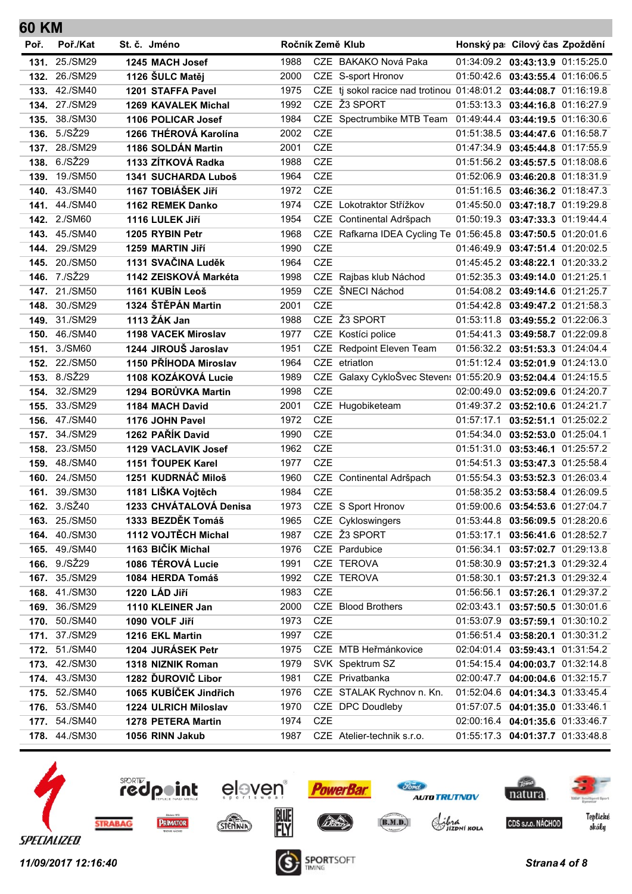| 60 KM |               |                            |      |            |                                                                   |            |                                      |  |
|-------|---------------|----------------------------|------|------------|-------------------------------------------------------------------|------------|--------------------------------------|--|
| Poř.  | Poř./Kat      | St. č. Jméno               |      |            | Ročník Země Klub                                                  |            | Honský pa: Cílový čas Zpoždění       |  |
| 131.  | 25./SM29      | 1245 MACH Josef            | 1988 |            | CZE BAKAKO Nová Paka                                              |            | 01:34:09.2 03:43:13.9 01:15:25.0     |  |
|       | 132. 26./SM29 | 1126 ŠULC Matěj            | 2000 |            | CZE S-sport Hronov                                                |            | 01:50:42.6 03:43:55.4 01:16:06.5     |  |
| 133.  | 42./SM40      | 1201 STAFFA Pavel          | 1975 |            | CZE tj sokol racice nad trotinou 01:48:01.2 03:44:08.7 01:16:19.8 |            |                                      |  |
| 134.  | 27./SM29      | <b>1269 KAVALEK Michal</b> | 1992 |            | CZE Ž3 SPORT                                                      |            | 01:53:13.3 03:44:16.8 01:16:27.9     |  |
| 135.  | 38./SM30      | 1106 POLICAR Josef         | 1984 |            | CZE Spectrumbike MTB Team 01:49:44.4 03:44:19.5 01:16:30.6        |            |                                      |  |
|       | 136. 5./SŽ29  | 1266 THÉROVÁ Karolína      | 2002 | <b>CZE</b> |                                                                   |            | 01:51:38.5 03:44:47.6 01:16:58.7     |  |
| 137.  | 28./SM29      | 1186 SOLDÁN Martin         | 2001 | CZE        |                                                                   |            | 01:47:34.9 03:45:44.8 01:17:55.9     |  |
| 138.  | 6./SŽ29       | 1133 ZÍTKOVÁ Radka         | 1988 | <b>CZE</b> |                                                                   |            | 01:51:56.2 03:45:57.5 01:18:08.6     |  |
| 139.  | 19./SM50      | 1341 SUCHARDA Luboš        | 1964 | CZE        |                                                                   |            | 01:52:06.9 03:46:20.8 01:18:31.9     |  |
| 140.  | 43./SM40      | 1167 TOBIÁŠEK JIří         | 1972 | <b>CZE</b> |                                                                   |            | 01:51:16.5 03:46:36.2 01:18:47.3     |  |
| 141.  | 44./SM40      | 1162 REMEK Danko           | 1974 |            | CZE Lokotraktor Střížkov                                          |            | 01:45:50.0 03:47:18.7 01:19:29.8     |  |
| 142.  | 2./SM60       | 1116 LULEK Jiří            | 1954 |            | CZE Continental Adršpach                                          |            | 01:50:19.3 03:47:33.3 01:19:44.4     |  |
| 143.  | 45./SM40      | 1205 RYBIN Petr            | 1968 |            | CZE Rafkarna IDEA Cycling Te 01:56:45.8 03:47:50.5 01:20:01.6     |            |                                      |  |
|       | 144. 29./SM29 | 1259 MARTIN Jiří           | 1990 | <b>CZE</b> |                                                                   |            | 01:46:49.9 03:47:51.4 01:20:02.5     |  |
| 145.  | 20./SM50      | 1131 SVAČINA Luděk         | 1964 | <b>CZE</b> |                                                                   |            | 01:45:45.2   03:48:22.1   01:20:33.2 |  |
| 146.  | 7./SŽ29       | 1142 ZEISKOVÁ Markéta      | 1998 |            | CZE Rajbas klub Náchod                                            |            | 01:52:35.3   03:49:14.0   01:21:25.1 |  |
| 147.  | 21./SM50      | 1161 KUBÍN Leoš            | 1959 |            | CZE ŠNECI Náchod                                                  |            | 01:54:08.2 03:49:14.6 01:21:25.7     |  |
| 148.  | 30./SM29      | 1324 ŠTĚPÁN Martin         | 2001 | <b>CZE</b> |                                                                   |            | 01:54:42.8 03:49:47.2 01:21:58.3     |  |
| 149.  | 31./SM29      | 1113 ŽÁK Jan               | 1988 |            | CZE Ž3 SPORT                                                      |            | 01:53:11.8 03:49:55.2 01:22:06.3     |  |
| 150.  | 46./SM40      | 1198 VACEK Miroslav        | 1977 |            | CZE Kostíci police                                                |            | 01:54:41.3 03:49:58.7 01:22:09.8     |  |
| 151.  | 3./SM60       | 1244 JIROUŠ Jaroslav       | 1951 |            | CZE Redpoint Eleven Team                                          |            | 01:56:32.2 03:51:53.3 01:24:04.4     |  |
|       | 152. 22./SM50 | 1150 PŘÍHODA Miroslav      | 1964 |            | CZE etriatlon                                                     |            | 01:51:12.4 03:52:01.9 01:24:13.0     |  |
|       | 153. 8./SŽ29  | 1108 KOZÁKOVÁ Lucie        | 1989 |            | CZE Galaxy CykloŠvec Steven: 01:55:20.9 03:52:04.4 01:24:15.5     |            |                                      |  |
| 154.  | 32./SM29      | 1294 BORŮVKA Martin        | 1998 | <b>CZE</b> |                                                                   | 02:00:49.0 | 03:52:09.6 01:24:20.7                |  |
| 155.  | 33./SM29      | <b>1184 MACH David</b>     | 2001 |            | CZE Hugobiketeam                                                  |            | 01:49:37.2 03:52:10.6 01:24:21.7     |  |
|       | 156. 47./SM40 | 1176 JOHN Pavel            | 1972 | <b>CZE</b> |                                                                   |            | 01:57:17.1   03:52:51.1   01:25:02.2 |  |
| 157.  | 34./SM29      | 1262 PAŘÍK David           | 1990 | CZE        |                                                                   |            | 01:54:34.0 03:52:53.0 01:25:04.1     |  |
| 158.  | 23./SM50      | 1129 VACLAVIK Josef        | 1962 | CZE        |                                                                   |            | 01:51:31.0 03:53:46.1 01:25:57.2     |  |
|       | 159. 48./SM40 | 1151 TOUPEK Karel          | 1977 | CZE        |                                                                   |            | 01:54:51.3 03:53:47.3 01:25:58.4     |  |
|       | 160. 24./SM50 | 1251 KUDRNÁČ Miloš         | 1960 |            | CZE Continental Adršpach                                          |            | 01:55:54.3 03:53:52.3 01:26:03.4     |  |
| 161.  | 39./SM30      | 1181 LIŠKA Vojtěch         | 1984 | <b>CZE</b> |                                                                   |            | 01:58:35.2 03:53:58.4 01:26:09.5     |  |
|       | 162. 3./SŽ40  | 1233 CHVÁTALOVÁ Denisa     | 1973 |            | CZE S Sport Hronov                                                |            | 01:59:00.6 03:54:53.6 01:27:04.7     |  |
|       | 163. 25./SM50 | 1333 BEZDĚK Tomáš          | 1965 |            | CZE Cykloswingers                                                 |            | 01:53:44.8 03:56:09.5 01:28:20.6     |  |
|       | 164. 40./SM30 | 1112 VOJTĚCH Michal        | 1987 |            | CZE Ž3 SPORT                                                      |            | 01:53:17.1 03:56:41.6 01:28:52.7     |  |
|       | 165. 49./SM40 | 1163 BIČÍK Michal          | 1976 |            | CZE Pardubice                                                     |            | 01:56:34.1 03:57:02.7 01:29:13.8     |  |
|       | 166. 9./SŽ29  | 1086 TÉROVÁ Lucie          | 1991 |            | CZE TEROVA                                                        |            | 01:58:30.9 03:57:21.3 01:29:32.4     |  |
|       | 167. 35./SM29 | 1084 HERDA Tomáš           | 1992 |            | CZE TEROVA                                                        |            | 01:58:30.1 03:57:21.3 01:29:32.4     |  |
|       | 168. 41./SM30 | 1220 LÁD Jiří              | 1983 | CZE        |                                                                   |            | 01:56:56.1 03:57:26.1 01:29:37.2     |  |
|       | 169. 36./SM29 | 1110 KLEINER Jan           | 2000 |            | CZE Blood Brothers                                                |            | 02:03:43.1 03:57:50.5 01:30:01.6     |  |
| 170.  | 50./SM40      | 1090 VOLF Jiří             | 1973 | CZE        |                                                                   |            | 01:53:07.9 03:57:59.1 01:30:10.2     |  |
|       | 171. 37./SM29 | 1216 EKL Martin            | 1997 | CZE        |                                                                   |            | 01:56:51.4 03:58:20.1 01:30:31.2     |  |
|       | 172. 51./SM40 | 1204 JURÁSEK Petr          | 1975 |            | CZE MTB Heřmánkovice                                              |            | 02:04:01.4   03:59:43.1   01:31:54.2 |  |
|       | 173. 42./SM30 | 1318 NIZNIK Roman          | 1979 |            | SVK Spektrum SZ                                                   |            | 01:54:15.4 04:00:03.7 01:32:14.8     |  |
|       | 174. 43./SM30 | 1282 ĎUROVIČ Libor         | 1981 |            | CZE Privatbanka                                                   | 02:00:47.7 | 04:00:04.6 01:32:15.7                |  |
|       | 175. 52./SM40 | 1065 KUBÍČEK Jindřich      | 1976 |            | CZE STALAK Rychnov n. Kn.                                         |            | 01:52:04.6 04:01:34.3 01:33:45.4     |  |
|       | 176. 53./SM40 | 1224 ULRICH Miloslav       | 1970 |            | CZE DPC Doudleby                                                  |            | 01:57:07.5 04:01:35.0 01:33:46.1     |  |
|       | 177. 54./SM40 | 1278 PETERA Martin         | 1974 | CZE        |                                                                   |            | 02:00:16.4  04:01:35.6  01:33:46.7   |  |
|       | 178. 44./SM30 | 1056 RINN Jakub            | 1987 |            | CZE Atelier-technik s.r.o.                                        |            | 01:55:17.3 04:01:37.7 01:33:48.8     |  |

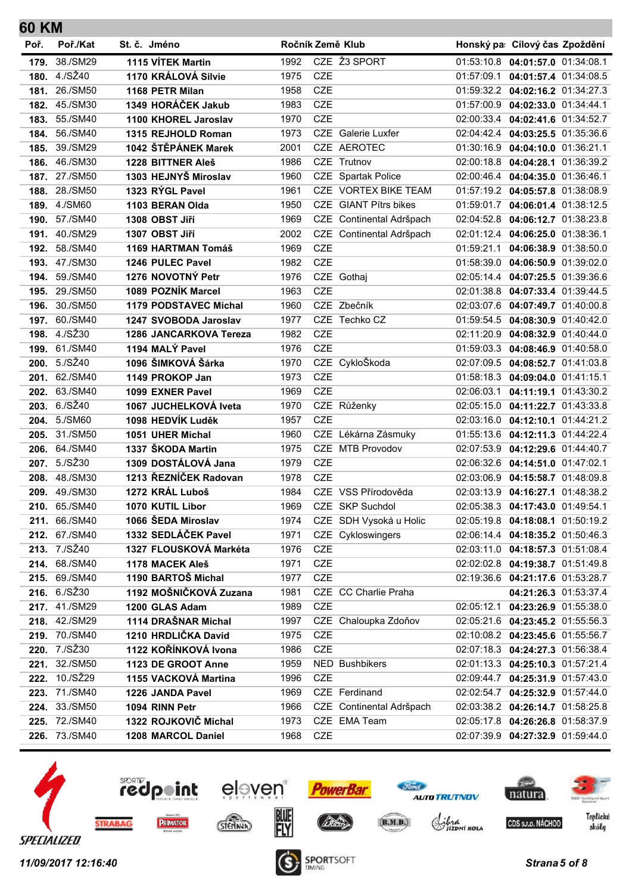| Poř. | Poř./Kat                       | St. č. Jméno |                                           | Ročník Země Klub |            |                          | Honský pa: Cílový čas Zpoždění                                           |  |
|------|--------------------------------|--------------|-------------------------------------------|------------------|------------|--------------------------|--------------------------------------------------------------------------|--|
| 179. | 38./SM29                       |              | 1115 VÍTEK Martin                         | 1992             |            | CZE Ž3 SPORT             | 01:53:10.8  04:01:57.0  01:34:08.1                                       |  |
|      | 180. 4./SŽ40                   |              | 1170 KRÁLOVÁ Silvie                       | 1975             | <b>CZE</b> |                          | 01:57:09.1   04:01:57.4   01:34:08.5                                     |  |
| 181. | 26./SM50                       |              | 1168 PETR Milan                           | 1958             | <b>CZE</b> |                          | 01:59:32.2   04:02:16.2   01:34:27.3                                     |  |
| 182. | 45./SM30                       |              | 1349 HORÁČEK Jakub                        | 1983             | <b>CZE</b> |                          | 01:57:00.9 04:02:33.0 01:34:44.1                                         |  |
| 183. | 55./SM40                       |              | 1100 KHOREL Jaroslav                      | 1970             | <b>CZE</b> |                          | 02:00:33.4  04:02:41.6  01:34:52.7                                       |  |
| 184. | 56./SM40                       |              | 1315 REJHOLD Roman                        | 1973             |            | CZE Galerie Luxfer       | 02:04:42.4  04:03:25.5  01:35:36.6                                       |  |
| 185. | 39./SM29                       |              | 1042 ŠTĚPÁNEK Marek                       | 2001             |            | CZE AEROTEC              | 01:30:16.9 04:04:10.0 01:36:21.1                                         |  |
| 186. | 46./SM30                       |              | 1228 BITTNER Aleš                         | 1986             |            | CZE Trutnov              | 02:00:18.8  04:04:28.1  01:36:39.2                                       |  |
|      | 187. 27./SM50                  |              | 1303 HEJNYŠ Miroslav                      | 1960             |            | CZE Spartak Police       | 02:00:46.4  04:04:35.0  01:36:46.1                                       |  |
|      | 188. 28./SM50                  |              | 1323 RÝGL Pavel                           | 1961             |            | CZE VORTEX BIKE TEAM     | 01:57:19.2 04:05:57.8 01:38:08.9                                         |  |
| 189. | 4./SM60                        |              | 1103 BERAN Olda                           | 1950             |            | CZE GIANT Pítrs bikes    | 01:59:01.7 04:06:01.4 01:38:12.5                                         |  |
| 190. | 57./SM40                       |              | 1308 OBST Jiří                            | 1969             |            | CZE Continental Adršpach | 02:04:52.8  04:06:12.7  01:38:23.8                                       |  |
| 191. | 40./SM29                       |              | 1307 OBST Jiří                            | 2002             |            | CZE Continental Adršpach | 02:01:12.4 04:06:25.0 01:38:36.1                                         |  |
| 192. | 58./SM40                       |              | 1169 HARTMAN Tomáš                        | 1969             | CZE        |                          | 01:59:21.1 04:06:38.9 01:38:50.0                                         |  |
| 193. | 47./SM30                       |              | 1246 PULEC Pavel                          | 1982             | <b>CZE</b> |                          | 01:58:39.0 04:06:50.9 01:39:02.0                                         |  |
| 194. | 59./SM40                       |              | 1276 NOVOTNÝ Petr                         | 1976             |            | CZE Gothaj               | 02:05:14.4  04:07:25.5  01:39:36.6                                       |  |
| 195. | 29./SM50                       |              | 1089 POZNÍK Marcel                        | 1963             | <b>CZE</b> |                          | 02:01:38.8  04:07:33.4  01:39:44.5                                       |  |
| 196. | 30./SM50                       |              | <b>1179 PODSTAVEC Michal</b>              | 1960             |            | CZE Zbečník              | 02:03:07.6  04:07:49.7  01:40:00.8                                       |  |
|      | 197. 60./SM40                  |              | 1247 SVOBODA Jaroslav                     | 1977             |            | CZE Techko CZ            | 01:59:54.5  04:08:30.9  01:40:42.0                                       |  |
| 198. | 4./SŽ30                        |              | 1286 JANCARKOVA Tereza                    | 1982             | <b>CZE</b> |                          | 02:11:20.9 04:08:32.9 01:40:44.0                                         |  |
|      | 199. 61./SM40                  |              | 1194 MALÝ Pavel                           | 1976             | <b>CZE</b> |                          | 01:59:03.3 04:08:46.9 01:40:58.0                                         |  |
| 200. | 5./SŽ40                        |              | 1096 ŠIMKOVÁ Šárka                        | 1970             |            | CZE CykloŠkoda           | 02:07:09.5  04:08:52.7  01:41:03.8                                       |  |
| 201. | 62./SM40                       |              | 1149 PROKOP Jan                           | 1973             | <b>CZE</b> |                          | 01:58:18.3 04:09:04.0 01:41:15.1                                         |  |
| 202. | 63./SM40                       |              | 1099 EXNER Pavel                          | 1969             | <b>CZE</b> |                          | 02:06:03.1  04:11:19.1  01:43:30.2                                       |  |
| 203. | 6./SZ40                        |              | 1067 JUCHELKOVÁ lveta                     | 1970             |            | CZE Růženky              | 02:05:15.0  04:11:22.7  01:43:33.8                                       |  |
| 204. | 5./SM60                        |              | 1098 HEDVÍK Luděk                         | 1957             | <b>CZE</b> |                          | 02:03:16.0  04:12:10.1  01:44:21.2                                       |  |
| 205. | 31./SM50                       |              | 1051 UHER Michal                          | 1960             |            | CZE Lékárna Zásmuky      | 01:55:13.6   04:12:11.3   01:44:22.4                                     |  |
| 206. | 64./SM40                       |              | 1337 ŠKODA Martin                         | 1975             |            | CZE MTB Provodov         | 02:07:53.9 04:12:29.6 01:44:40.7                                         |  |
| 207. | 5./SŽ30                        |              | 1309 DOSTÁLOVÁ Jana                       | 1979             | <b>CZE</b> |                          | 02:06:32.6  04:14:51.0  01:47:02.1                                       |  |
|      | 208. 48./SM30                  |              | 1213 ŘEZNÍČEK Radovan                     | 1978             | <b>CZE</b> | CZE VSS Přírodověda      | 02:03:06.9  04:15:58.7  01:48:09.8                                       |  |
| 209. | 49./SM30                       |              | 1272 KRÁL Luboš                           | 1984             |            |                          | 02:03:13.9  04:16:27.1  01:48:38.2                                       |  |
| 210. | 65./SM40                       |              | 1070 KUTIL Libor                          | 1969             |            | CZE SKP Suchdol          | 02:05:38.3  04:17:43.0  01:49:54.1                                       |  |
|      | 211. 66./SM40<br>212. 67./SM40 |              | 1066 ŠEDA Miroslav<br>1332 SEDLÁČEK Pavel | 1974             |            | CZE SDH Vysoká u Holic   | 02:05:19.8  04:18:08.1  01:50:19.2<br>02:06:14.4  04:18:35.2  01:50:46.3 |  |
|      | 213. 7./SŽ40                   |              | 1327 FLOUSKOVÁ Markéta                    | 1971<br>1976     | CZE        | CZE Cykloswingers        | 02:03:11.0 04:18:57.3 01:51:08.4                                         |  |
|      | 214. 68./SM40                  |              | 1178 MACEK Aleš                           | 1971             | CZE        |                          | 02:02:02.8  04:19:38.7  01:51:49.8                                       |  |
|      | 215. 69./SM40                  |              | 1190 BARTOŠ Michal                        | 1977             | <b>CZE</b> |                          | 02:19:36.6 04:21:17.6 01:53:28.7                                         |  |
|      | 216. 6./SŽ30                   |              | 1192 MOŠNIČKOVÁ Zuzana                    | 1981             |            | CZE CC Charlie Praha     | 04:21:26.3 01:53:37.4                                                    |  |
|      | 217. 41./SM29                  |              | 1200 GLAS Adam                            | 1989             | CZE        |                          | 02:05:12.1  04:23:26.9  01:55:38.0                                       |  |
|      | 218. 42./SM29                  |              | 1114 DRAŠNAR Michal                       | 1997             |            | CZE Chaloupka Zdoňov     | 02:05:21.6  04:23:45.2  01:55:56.3                                       |  |
|      | 219. 70./SM40                  |              | 1210 HRDLIČKA David                       | 1975             | CZE        |                          | 02:10:08.2 04:23:45.6 01:55:56.7                                         |  |
|      | 220. 7./SŽ30                   |              | 1122 KOŘÍNKOVÁ Ivona                      | 1986             | CZE        |                          | 02:07:18.3  04:24:27.3  01:56:38.4                                       |  |
|      | 221. 32./SM50                  |              | 1123 DE GROOT Anne                        | 1959             |            | NED Bushbikers           | 02:01:13.3  04:25:10.3  01:57:21.4                                       |  |
|      | 222. 10./SŽ29                  |              | 1155 VACKOVÁ Martina                      | 1996             | CZE        |                          | 02:09:44.7  04:25:31.9  01:57:43.0                                       |  |
|      | 223. 71./SM40                  |              | 1226 JANDA Pavel                          | 1969             |            | CZE Ferdinand            | 02:02:54.7 04:25:32.9 01:57:44.0                                         |  |
|      |                                |              |                                           |                  |            |                          |                                                                          |  |

**60 KM**



**224.** 33./SM50 **1094 RINN Petr** 1966 CZE Continental Adršpach 02:03:38.2 **04:26:14.7** 01:58:25.8 **225.** 72./SM40 **1322 ROJKOVIČ Michal** 1973 CZE EMA Team 02:05:17.8 **04:26:26.8** 01:58:37.9 **226.** 73./SM40 **1208 MARCOL Daniel** 1968 CZE 02:07:39.9 **04:27:32.9** 01:59:44.0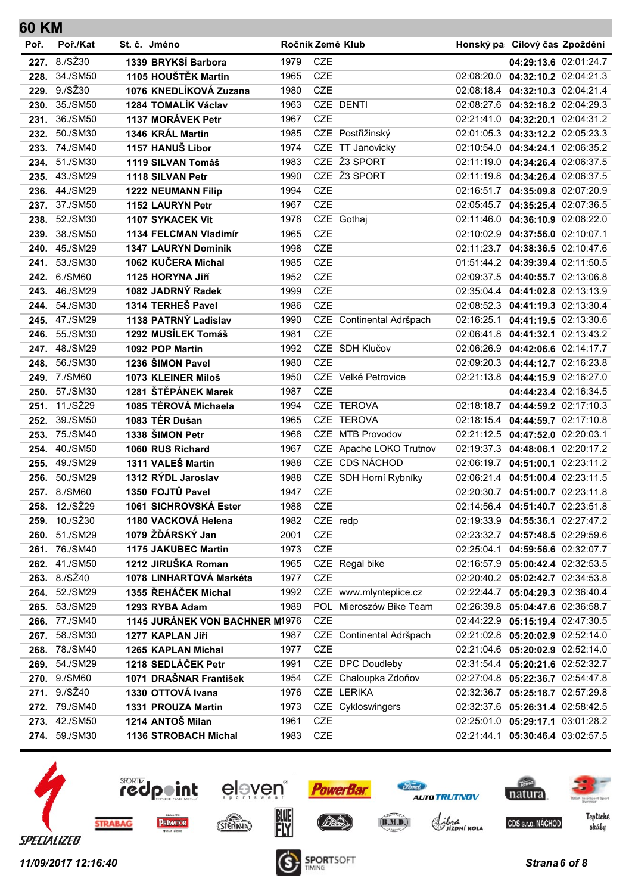## **60 KM**

| Poř. | Poř./Kat      | St. č. Jméno                   | Ročník Země Klub |            |                          |            | Honský pa: Cílový čas Zpoždění       |  |
|------|---------------|--------------------------------|------------------|------------|--------------------------|------------|--------------------------------------|--|
| 227. | 8./SZ30       | 1339 BRYKSÍ Barbora            | 1979             | <b>CZE</b> |                          |            | 04:29:13.6 02:01:24.7                |  |
|      | 228. 34./SM50 | 1105 HOUŠTĚK Martin            | 1965             | <b>CZE</b> |                          |            | 02:08:20.0  04:32:10.2  02:04:21.3   |  |
| 229. | 9./SŽ30       | 1076 KNEDLÍKOVÁ Zuzana         | 1980             | <b>CZE</b> |                          |            | 02:08:18.4  04:32:10.3  02:04:21.4   |  |
| 230. | 35./SM50      | 1284 TOMALÍK Václav            | 1963             |            | CZE DENTI                |            | 02:08:27.6  04:32:18.2  02:04:29.3   |  |
| 231. | 36./SM50      | 1137 MORÁVEK Petr              | 1967             | <b>CZE</b> |                          |            | 02:21:41.0 04:32:20.1 02:04:31.2     |  |
| 232. | 50./SM30      | 1346 KRÁL Martin               | 1985             |            | CZE Postřižinský         |            | 02:01:05.3  04:33:12.2  02:05:23.3   |  |
| 233. | 74./SM40      | 1157 HANUŠ Libor               | 1974             |            | CZE TT Janovicky         |            | 02:10:54.0  04:34:24.1  02:06:35.2   |  |
| 234. | 51./SM30      | 1119 SILVAN Tomáš              | 1983             |            | CZE Ž3 SPORT             | 02:11:19.0 | 04:34:26.4 02:06:37.5                |  |
|      | 235. 43./SM29 | 1118 SILVAN Petr               | 1990             |            | CZE Ž3 SPORT             |            | 02:11:19.8  04:34:26.4  02:06:37.5   |  |
|      | 236. 44./SM29 | <b>1222 NEUMANN Filip</b>      | 1994             | <b>CZE</b> |                          |            | 02:16:51.7 04:35:09.8 02:07:20.9     |  |
|      | 237. 37./SM50 | <b>1152 LAURYN Petr</b>        | 1967             | <b>CZE</b> |                          |            | 02:05:45.7  04:35:25.4  02:07:36.5   |  |
| 238. | 52./SM30      | <b>1107 SYKACEK Vit</b>        | 1978             |            | CZE Gothaj               | 02:11:46.0 | 04:36:10.9 02:08:22.0                |  |
|      | 239. 38./SM50 | <b>1134 FELCMAN Vladimír</b>   | 1965             | <b>CZE</b> |                          |            | 02:10:02.9  04:37:56.0  02:10:07.1   |  |
|      | 240, 45./SM29 | <b>1347 LAURYN Dominik</b>     | 1998             | <b>CZE</b> |                          |            | 02:11:23.7 04:38:36.5 02:10:47.6     |  |
|      | 241. 53./SM30 | 1062 KUČERA Michal             | 1985             | <b>CZE</b> |                          |            | 01:51:44.2 04:39:39.4 02:11:50.5     |  |
| 242. | 6./SM60       | 1125 HORYNA Jiří               | 1952             | <b>CZE</b> |                          |            | 02:09:37.5  04:40:55.7  02:13:06.8   |  |
|      | 243. 46./SM29 | 1082 JADRNÝ Radek              | 1999             | <b>CZE</b> |                          |            | 02:35:04.4  04:41:02.8  02:13:13.9   |  |
|      | 244. 54./SM30 | 1314 TERHEŠ Pavel              | 1986             | <b>CZE</b> |                          |            | 02:08:52.3  04:41:19.3  02:13:30.4   |  |
|      | 245. 47./SM29 | 1138 PATRNÝ Ladislav           | 1990             |            | CZE Continental Adršpach |            | 02:16:25.1  04:41:19.5  02:13:30.6   |  |
| 246. | 55./SM30      | 1292 MUSÍLEK Tomáš             | 1981             | <b>CZE</b> |                          |            | 02:06:41.8  04:41:32.1  02:13:43.2   |  |
|      | 247. 48./SM29 | 1092 POP Martin                | 1992             |            | CZE SDH Klučov           |            | 02:06:26.9 04:42:06.6 02:14:17.7     |  |
| 248. | 56./SM30      | 1236 ŠIMON Pavel               | 1980             | <b>CZE</b> |                          |            | 02:09:20.3  04:44:12.7  02:16:23.8   |  |
| 249. | 7./SM60       | 1073 KLEINER Miloš             | 1950             |            | CZE Velké Petrovice      |            | 02:21:13.8  04:44:15.9  02:16:27.0   |  |
| 250. | 57./SM30      | 1281 ŠTĚPÁNEK Marek            | 1987             | <b>CZE</b> |                          |            | 04:44:23.4 02:16:34.5                |  |
|      | 251. 11./SŽ29 | 1085 TÉROVÁ Michaela           | 1994             |            | CZE TEROVA               |            | 02:18:18.7 04:44:59.2 02:17:10.3     |  |
| 252. | 39./SM50      | 1083 TÉR Dušan                 | 1965             |            | CZE TEROVA               |            | 02:18:15.4  04:44:59.7  02:17:10.8   |  |
| 253. | 75./SM40      | 1338 ŠIMON Petr                | 1968             |            | CZE MTB Provodov         |            | 02:21:12.5 04:47:52.0 02:20:03.1     |  |
| 254. | 40./SM50      | 1060 RUS Richard               | 1967             |            | CZE Apache LOKO Trutnov  |            | 02:19:37.3  04:48:06.1  02:20:17.2   |  |
|      | 255. 49./SM29 | 1311 VALEŠ Martin              | 1988             |            | CZE CDS NÁCHOD           |            | 02:06:19.7  04:51:00.1  02:23:11.2   |  |
| 256. | 50./SM29      | 1312 RÝDL Jaroslav             | 1988             |            | CZE SDH Horní Rybníky    |            | 02:06:21.4  04:51:00.4  02:23:11.5   |  |
|      | 257. 8./SM60  | 1350 FOJTŮ Pavel               | 1947             | <b>CZE</b> |                          |            | 02:20:30.7  04:51:00.7  02:23:11.8   |  |
| 258. | 12./SŽ29      | 1061 SICHROVSKÁ Ester          | 1988             | <b>CZE</b> |                          |            | 02:14:56.4  04:51:40.7  02:23:51.8   |  |
|      | 259. 10./SŽ30 | 1180 VACKOVÁ Helena            | 1982             | CZE redp   |                          |            | 02:19:33.9   04:55:36.1   02:27:47.2 |  |
|      | 260. 51./SM29 | 1079 ŽĎÁRSKÝ Jan               | 2001             | CZE        |                          |            | 02:23:32.7 04:57:48.5 02:29:59.6     |  |
|      | 261. 76./SM40 | 1175 JAKUBEC Martin            | 1973             | <b>CZE</b> |                          |            | 02:25:04.1  04:59:56.6  02:32:07.7   |  |
|      | 262. 41./SM50 | 1212 JIRUŠKA Roman             | 1965             |            | CZE Regal bike           |            | 02:16:57.9 05:00:42.4 02:32:53.5     |  |
|      | 263. 8./SŽ40  | 1078 LINHARTOVÁ Markéta        | 1977             | <b>CZE</b> |                          |            | 02:20:40.2  05:02:42.7  02:34:53.8   |  |
|      | 264. 52./SM29 | 1355 ŘEHÁČEK Michal            | 1992             |            | CZE www.mlynteplice.cz   |            | 02:22:44.7 05:04:29.3 02:36:40.4     |  |
|      | 265. 53./SM29 | 1293 RYBA Adam                 | 1989             |            | POL Mieroszów Bike Team  |            | 02:26:39.8  05:04:47.6  02:36:58.7   |  |
|      | 266. 77./SM40 | 1145 JURÁNEK VON BACHNER M1976 |                  | <b>CZE</b> |                          |            | 02:44:22.9 05:15:19.4 02:47:30.5     |  |
|      | 267. 58./SM30 | 1277 KAPLAN Jiří               | 1987             |            | CZE Continental Adršpach |            | 02:21:02.8  05:20:02.9  02:52:14.0   |  |
|      | 268. 78./SM40 | 1265 KAPLAN Michal             | 1977             | <b>CZE</b> |                          |            | 02:21:04.6  05:20:02.9  02:52:14.0   |  |
|      | 269. 54./SM29 | 1218 SEDLÁČEK Petr             | 1991             |            | CZE DPC Doudleby         |            | 02:31:54.4  05:20:21.6  02:52:32.7   |  |
|      | 270. 9./SM60  | 1071 DRAŠNAR František         | 1954             |            | CZE Chaloupka Zdoňov     |            | 02:27:04.8  05:22:36.7  02:54:47.8   |  |
|      | 271. 9./SŽ40  | 1330 OTTOVÁ Ivana              | 1976             |            | CZE LERIKA               |            | 02:32:36.7 05:25:18.7 02:57:29.8     |  |
|      | 272. 79./SM40 | 1331 PROUZA Martin             | 1973             |            | CZE Cykloswingers        |            | 02:32:37.6 05:26:31.4 02:58:42.5     |  |
|      | 273. 42./SM50 | 1214 ANTOŠ Milan               | 1961             | CZE        |                          |            | 02:25:01.0  05:29:17.1  03:01:28.2   |  |
|      | 274. 59./SM30 | 1136 STROBACH Michal           | 1983             | CZE        |                          |            | 02:21:44.1  05:30:46.4  03:02:57.5   |  |
|      |               |                                |                  |            |                          |            |                                      |  |

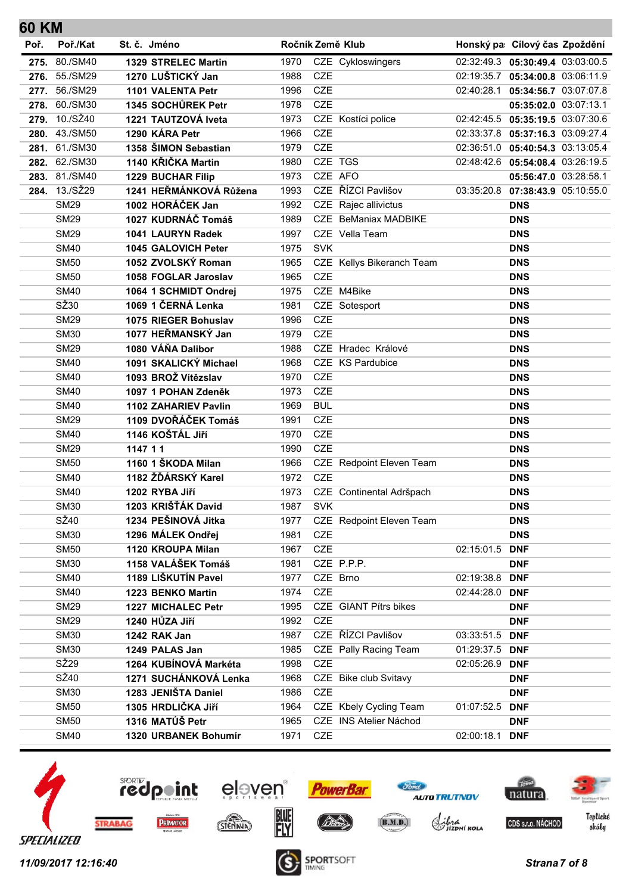| <b>60 KM</b> |                            |                                         |              |                          |                             |                |                                      |
|--------------|----------------------------|-----------------------------------------|--------------|--------------------------|-----------------------------|----------------|--------------------------------------|
| Poř.         | Poř./Kat                   | St. č. Jméno                            |              |                          | Ročník Země Klub            |                | Honský pa: Cílový čas Zpoždění       |
|              | 275. 80./SM40              | 1329 STRELEC Martin                     | 1970         |                          | CZE Cykloswingers           |                | 02:32:49.3  05:30:49.4  03:03:00.5   |
|              | 276. 55./SM29              | 1270 LUŠTICKÝ Jan                       | 1988         | <b>CZE</b>               |                             |                | 02:19:35.7  05:34:00.8  03:06:11.9   |
| 277.         | 56./SM29                   | 1101 VALENTA Petr                       | 1996         | <b>CZE</b>               |                             |                | 02:40:28.1  05:34:56.7  03:07:07.8   |
|              | 278. 60./SM30              | 1345 SOCHŮREK Petr                      | 1978         | CZE                      |                             |                | 05:35:02.0 03:07:13.1                |
|              | 279. 10./SŽ40              | 1221 TAUTZOVÁ Iveta                     | 1973         |                          | CZE Kostíci police          |                | 02:42:45.5 05:35:19.5 03:07:30.6     |
|              | 280. 43./SM50              | 1290 KÁRA Petr                          | 1966         | <b>CZE</b>               |                             |                | 02:33:37.8   05:37:16.3   03:09:27.4 |
|              | 281. 61./SM30              | 1358 ŠIMON Sebastian                    | 1979         | <b>CZE</b>               |                             |                | 02:36:51.0 05:40:54.3 03:13:05.4     |
| 282.         | 62./SM30                   | 1140 KŘIČKA Martin                      | 1980         |                          | CZE TGS                     |                | 02:48:42.6 05:54:08.4 03:26:19.5     |
|              | 283. 81./SM40              | 1229 BUCHAR Filip                       | 1973         |                          | CZE AFO                     |                | 05:56:47.0 03:28:58.1                |
|              | 284. 13./SŽ29              | 1241 HEŘMÁNKOVÁ Růžena                  | 1993         |                          | CZE ŘÍZCI Pavlišov          |                | 03:35:20.8 07:38:43.9 05:10:55.0     |
|              | <b>SM29</b>                | 1002 HORÁČEK Jan                        | 1992         |                          | CZE Rajec allivictus        |                | <b>DNS</b>                           |
|              | <b>SM29</b>                | 1027 KUDRNÁČ Tomáš                      | 1989         |                          | <b>CZE BeManiax MADBIKE</b> |                | <b>DNS</b>                           |
|              | <b>SM29</b>                | 1041 LAURYN Radek                       | 1997         |                          | CZE Vella Team              |                | <b>DNS</b>                           |
|              | <b>SM40</b>                | 1045 GALOVICH Peter                     | 1975         | <b>SVK</b>               |                             |                | <b>DNS</b>                           |
|              | <b>SM50</b>                | 1052 ZVOLSKÝ Roman                      | 1965         |                          | CZE Kellys Bikeranch Team   |                | <b>DNS</b>                           |
|              | <b>SM50</b>                | 1058 FOGLAR Jaroslav                    | 1965         | <b>CZE</b>               |                             |                | <b>DNS</b>                           |
|              | <b>SM40</b>                | 1064 1 SCHMIDT Ondrej                   | 1975         |                          | CZE M4Bike                  |                | <b>DNS</b>                           |
|              | SŽ30                       | 1069 1 ČERNÁ Lenka                      | 1981         |                          | CZE Sotesport               |                | <b>DNS</b>                           |
|              | <b>SM29</b>                | 1075 RIEGER Bohuslav                    | 1996         | <b>CZE</b>               |                             |                | <b>DNS</b>                           |
|              | <b>SM30</b>                | 1077 HEŘMANSKÝ Jan                      | 1979         | <b>CZE</b>               |                             |                | <b>DNS</b>                           |
|              | <b>SM29</b>                | 1080 VÁŇA Dalibor                       | 1988         |                          | CZE Hradec Králové          |                | <b>DNS</b>                           |
|              | <b>SM40</b>                | 1091 SKALICKÝ Michael                   | 1968         |                          | CZE KS Pardubice            |                | <b>DNS</b>                           |
|              | <b>SM40</b>                | 1093 BROŽ Vítězslav                     | 1970         | CZE                      |                             |                | <b>DNS</b>                           |
|              | <b>SM40</b>                | 1097 1 POHAN Zdeněk                     | 1973         | <b>CZE</b>               |                             |                | <b>DNS</b>                           |
|              | <b>SM40</b>                | 1102 ZAHARIEV Pavlin                    | 1969         | <b>BUL</b>               |                             |                | <b>DNS</b>                           |
|              | <b>SM29</b><br><b>SM40</b> | 1109 DVOŘÁČEK Tomáš<br>1146 KOŠTÁL Jiří | 1991<br>1970 | <b>CZE</b><br><b>CZE</b> |                             |                | <b>DNS</b>                           |
|              | <b>SM29</b>                | 1147 11                                 | 1990         | <b>CZE</b>               |                             |                | <b>DNS</b>                           |
|              | <b>SM50</b>                | 1160 1 ŠKODA Milan                      | 1966         |                          | CZE Redpoint Eleven Team    |                | <b>DNS</b><br><b>DNS</b>             |
|              | <b>SM40</b>                | 1182 ŽĎÁRSKÝ Karel                      | 1972         | <b>CZE</b>               |                             |                | <b>DNS</b>                           |
|              | <b>SM40</b>                | 1202 RYBA Jiří                          | 1973         |                          | CZE Continental Adršpach    |                | <b>DNS</b>                           |
|              | <b>SM30</b>                | 1203 KRIŠŤÁK David                      | 1987         | <b>SVK</b>               |                             |                | <b>DNS</b>                           |
|              | SŽ40                       | 1234 PEŠINOVÁ Jitka                     | 1977         |                          | CZE Redpoint Eleven Team    |                | <b>DNS</b>                           |
|              | <b>SM30</b>                | 1296 MÁLEK Ondřej                       | 1981         | CZE                      |                             |                | <b>DNS</b>                           |
|              | <b>SM50</b>                | 1120 KROUPA Milan                       | 1967         | <b>CZE</b>               |                             | 02:15:01.5     | <b>DNF</b>                           |
|              | <b>SM30</b>                | 1158 VALÁŠEK Tomáš                      | 1981         |                          | CZE P.P.P.                  |                | <b>DNF</b>                           |
|              | <b>SM40</b>                | 1189 LIŠKUTÍN Pavel                     | 1977         |                          | CZE Brno                    | 02:19:38.8     | <b>DNF</b>                           |
|              | <b>SM40</b>                | 1223 BENKO Martin                       | 1974         | CZE                      |                             | 02:44:28.0 DNF |                                      |
|              | <b>SM29</b>                | <b>1227 MICHALEC Petr</b>               | 1995         |                          | CZE GIANT Pítrs bikes       |                | <b>DNF</b>                           |
|              | <b>SM29</b>                | 1240 HŮZA Jiří                          | 1992         | CZE                      |                             |                | <b>DNF</b>                           |
|              | <b>SM30</b>                | 1242 RAK Jan                            | 1987         |                          | CZE ŘÍZCI Pavlišov          | 03:33:51.5     | <b>DNF</b>                           |
|              | <b>SM30</b>                | 1249 PALAS Jan                          | 1985         |                          | CZE Pally Racing Team       | 01:29:37.5 DNF |                                      |
|              | SŽ <sub>29</sub>           | 1264 KUBÍNOVÁ Markéta                   | 1998         | CZE                      |                             | 02:05:26.9     | <b>DNF</b>                           |
|              | SŽ40                       | 1271 SUCHÁNKOVÁ Lenka                   | 1968         |                          | CZE Bike club Svitavy       |                | <b>DNF</b>                           |
|              | <b>SM30</b>                | 1283 JENIŠTA Daniel                     | 1986         | <b>CZE</b>               |                             |                | <b>DNF</b>                           |
|              | <b>SM50</b>                | 1305 HRDLIČKA JIří                      | 1964         |                          | CZE Kbely Cycling Team      | 01:07:52.5     | <b>DNF</b>                           |
|              | <b>SM50</b>                | 1316 MATÚŠ Petr                         | 1965         |                          | CZE INS Atelier Náchod      |                | <b>DNF</b>                           |
|              | <b>SM40</b>                | 1320 URBANEK Bohumír                    | 1971         | CZE                      |                             | 02:00:18.1 DNF |                                      |